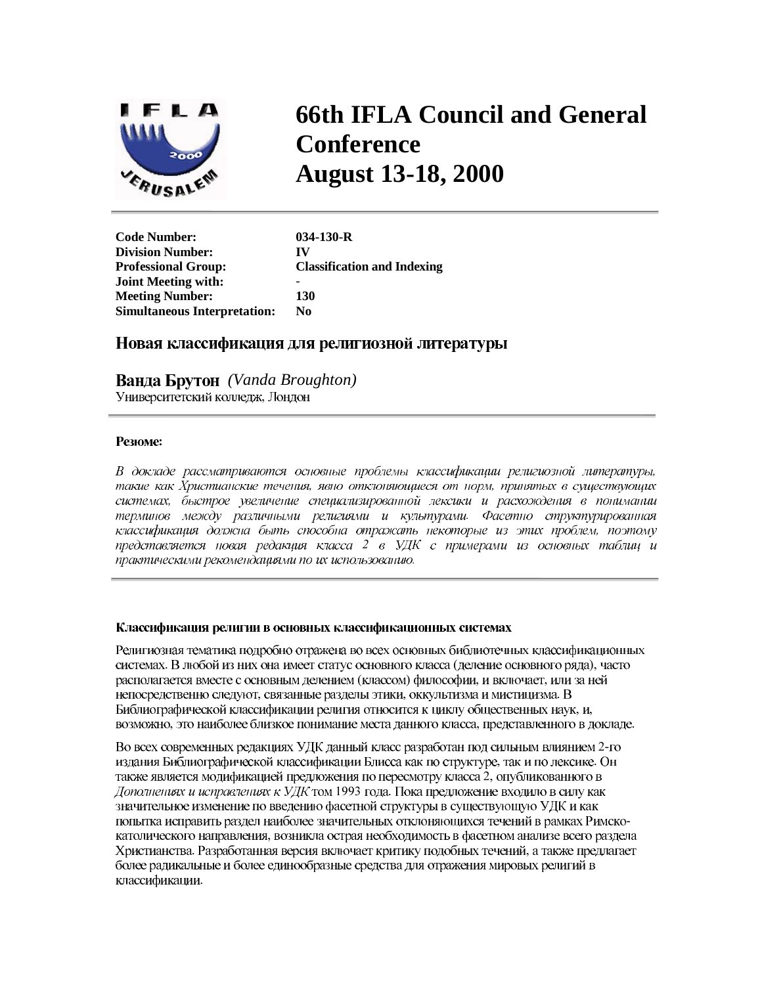

# **66th IFLA Council and General Conference August 13-18, 2000**

**Code Number: 034-130-R Division Number: IV Professional Group: Classification and Indexing Joint Meeting with:** - **Meeting Number: 130 Simultaneous Interpretation: No** 

# Новая классификация для религиозной литературы

 *(Vanda Broughton)* Университетский колледж, Лондон

#### Резюме:

В докладе рассматриваются основные проблемы классификации религиозной литературы, такие как Христианские течения, явно отклоняющиеся от норм, принятых в существующих системах, быстрое увеличение специализированной лексики и расхождения в понимании терминов между различными религиями и культурами. Фасетно структурированная классификация должна быть способна отражать некоторые из этих проблем, поэтому представляется новая редакция класса 2 в УДК с примерами из основных таблиц и практическими рекомендациями по их использованию.

#### Классификация религии в основных классификационных системах

Религиозная тематика подробно отражена во всех основных библиотечных классификационных системах. В любой из них она имеет статус основного класса (деление основного ряда), часто располагается вместе с основным делением (классом) философии, и включает, или за ней непосредственно следуют, связанные разделы этики, оккультизма и мистицизма. В Библиографической классификации религия относится к циклу общественных наук, и, возможно, это наиболее близкое понимание места данного класса, представленного в докладе.

Во всех современных редакциях УДК данный класс разработан под сильным влиянием 2-го издания Библиографической классификации Блисса как по структуре, так и по лексике. Он также является модификацией предложения по пересмотру класса 2, опубликованного в Дополнениях и исправлениях к УДК том 1993 года. Пока предложение входило в силу как значительное изменение по введению фасетной структуры в существующую УДК и как попытка исправить раздел наиболее значительных отклоняющихся течений в рамках Римскокатолического направления, возникла острая необходимость в фасетном анализе всего раздела Христианства. Разработанная версия включает критику подобных течений, а также предлагает более радикальные и более единообразные средства для отражения мировых религий в классификации.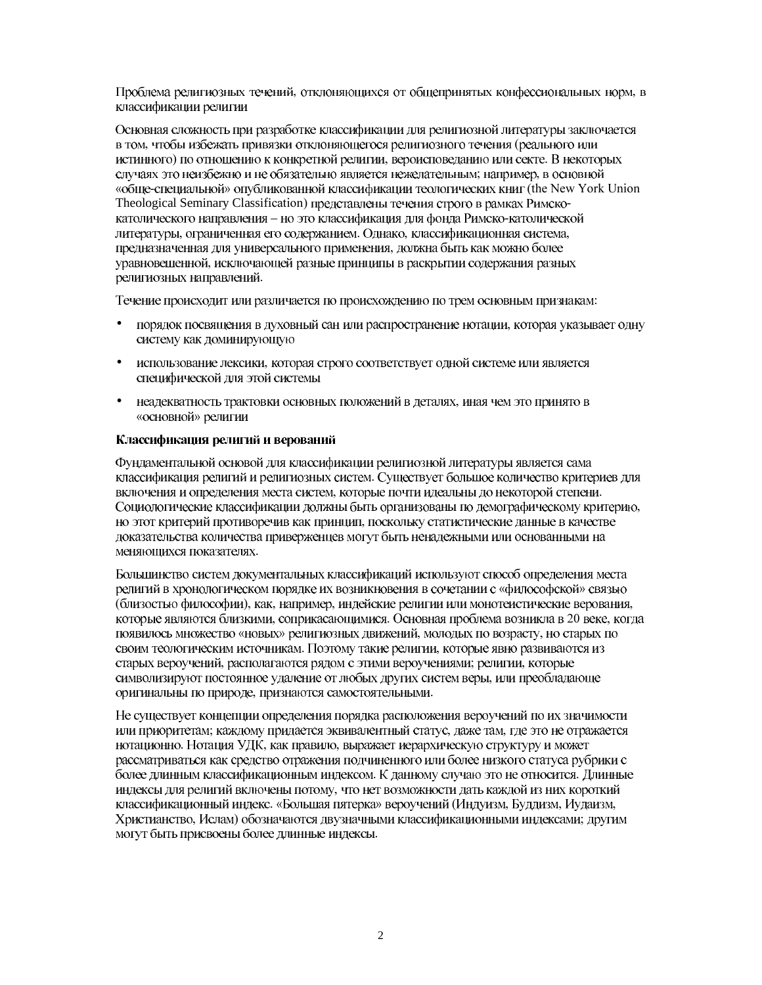Проблема религиозных течений, отклоняющихся от общепринятых конфессиональных норм, в классификации религии

Основная сложность при разработке классификации для религиозной литературы заключается в том, чтобы избежать привязки отклоняющегося религиозного течения (реального или истинного) по отношению к конкретной религии, вероисповеданию или секте. В некоторых случаях это неизбежно и не обязательно является нежелательным: например, в основной «обще-специальной» опубликованной классификации теологических книг (the New York Union Theological Seminary Classification) представлены течения строго в рамках Римскокатолического направления - но это классификация для фонда Римско-католической литературы, ограниченная его содержанием. Однако, классификационная система, предназначенная для универсального применения, должна быть как можно более уравновешенной, исключающей разные принципы в раскрытии содержания разных религиозных направлений.

Течение происходит или различается по происхождению по трем основным признакам:

- порядок посвящения в духовный сан или распространение нотации, которая указывает одну  $\bullet$ систему как доминирующую
- использование лексики, которая строго соответствует одной системе или является  $\bullet$ специфической для этой системы
- неадекватность трактовки основных положений в деталях, иная чем это принято в  $\bullet$ «основной» религии

### Классификация религий и верований

Фундаментальной основой для классификации религиозной литературы является сама классификация религий и религиозных систем. Существует большое количество критериев для включения и определения места систем, которые почти идеальны до некоторой степени. Социологические классификации должны быть организованы по демографическому критерию, но этот критерий противоречив как принцип, поскольку статистические данные в качестве доказательства количества приверженцев могут быть ненадежными или основанными на меняющихся показателях.

Большинство систем документальных классификаций используют способ определения места религий в хронологическом порядке их возникновения в сочетании с «философской» связью (близостью философии), как, например, индейские религии или монотеистические верования, которые являются близкими, соприкасающимися. Основная проблема возникла в 20 веке, когда появилось множество «новых» религиозных движений, молодых по возрасту, но старых по своим теологическим источникам. Поэтому такие религии, которые явно развиваются из старых вероучений, располагаются рядом с этими вероучениями; религии, которые символизируют постоянное удаление от любых других систем веры, или преобладающе оригинальны по природе, признаются самостоятельными.

Не существует концепции определения порядка расположения вероучений по их значимости или приоритетам; каждому придается эквивалентный статус, даже там, где это не отражается нотационно. Нотация УДК, как правило, выражает иерархическую структуру и может рассматриваться как средство отражения подчиненного или более низкого статуса рубрики с более длинным классификационным индексом. К данному случаю это не относится. Длинные индексы для религий включены потому, что нет возможности дать каждой из них короткий классификационный индекс. «Большая пятерка» вероучений (Индуизм, Буддизм, Иудаизм, Христианство, Ислам) обозначаются двузначными классификационными индексами; другим могут быть присвоены более длинные индексы.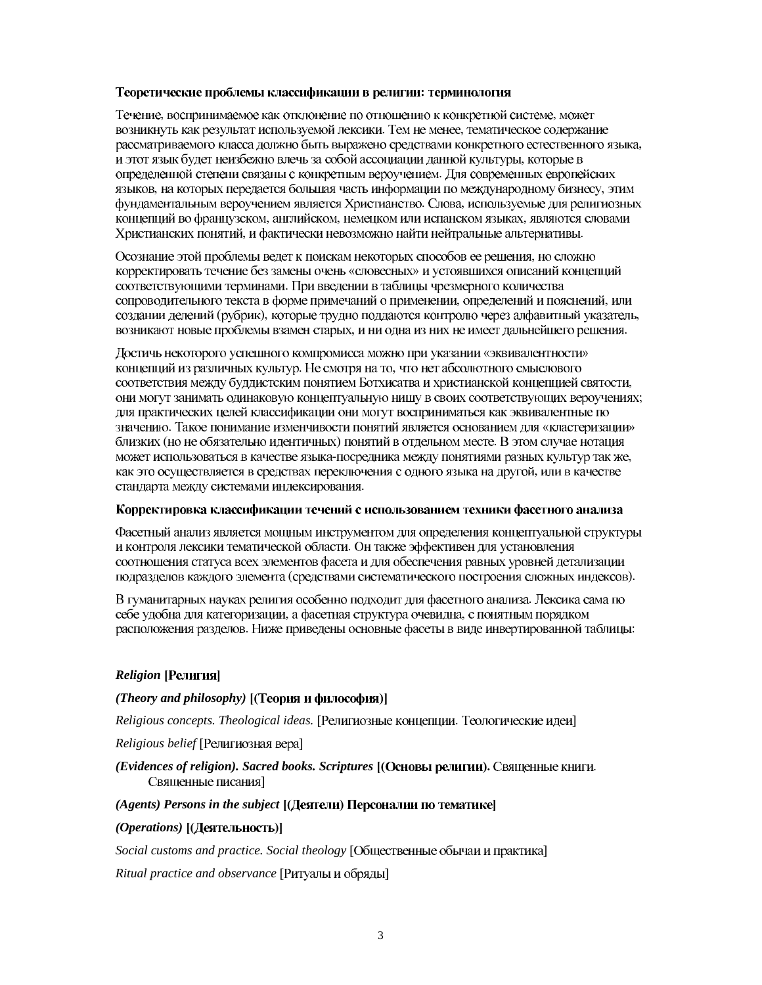## Теоретические проблемы классификации в религии: терминология

Течение, воспринимаемое как отклонение по отношению к конкретной системе, может возникнуть как результат используемой лексики. Тем не менее, тематическое содержание рассматриваемого класса должно быть выражено средствами конкретного естественного языка, и этот язык будет неизбежно влечь за собой ассоциации данной культуры, которые в определенной степени связаны с конкретным вероучением. Для современных европейских языков, на которых передается большая часть информации по международному бизнесу, этим фундаментальным вероучением является Христианство. Слова, используемые для религиозных концепций во французском, английском, немецком или испанском языках, являются словами Христианских понятий, и фактически невозможно найти нейтральные альтернативы.

Осознание этой проблемы ведет к поискам некоторых способов ее решения, но сложно корректировать течение без замены очень «словесных» и устоявшихся описаний концепций соответствующими терминами. При введении в таблицы чрезмерного количества сопроводительного текста в форме примечаний о применении, определений и пояснений, или создании делений (рубрик), которые трудно поддаются контролю через алфавитный указатель, возникают новые проблемы взамен старых, и ни одна из них не имеет дальнейшего решения.

Достичь некоторого успешного компромисса можно при указании «эквивалентности» концепций из различных культур. Не смотря на то, что нет абсолютного смыслового соответствия между буддистским понятием Ботхисатва и христианской концепцией святости, они могут занимать одинаковую концептуальную нишу в своих соответствующих вероучениях; для практических целей классификации они могут восприниматься как эквивалентные по значению. Такое понимание изменчивости понятий является основанием для «кластеризации» близких (но не обязательно идентичных) понятий в отдельном месте. В этом случае нотация может использоваться в качестве языка-посредника между понятиями разных культур так же, как это осуществляется в средствах переключения с одного языка на другой, или в качестве стандарта между системами индексирования.

### Корректировка классификации течений с использованием техники фасетного анализа

Фасетный анализ является мощным инструментом для определения концептуальной структуры и контроля лексики тематической области. Он также эффективен для установления соотношения статуса всех элементов фасета и для обеспечения равных уровней детализации подразделов каждого элемента (средствами систематического построения сложных индексов).

В гуманитарных науках религия особенно подходит для фасетного анализа. Лексика сама по себе удобна для категоризации, а фасетная структура очевидна, с понятным порядком расположения разделов. Ниже приведены основные фасеты в виде инвертированной таблицы:

# $Religion$  [Религия]

# *(Theory and philosophy)* [(Теория и философия)]

*Religious concepts. Theological ideas.* [Религиозные концепции. Теологические идеи]

Religious belief [Религиозная вера]

# (Evidences of religion). Sacred books. Scriptures [(Основы религии). Священные книги. Священные писания]

# $(A^{gents})$  Persons in the subject  $[(\text{I}(\text{eff})\text{I}(\text{eff}))]$  *Depcoharion no tematrical*

# (Operations) [(Деятельность)]

Social customs and practice. Social theology [Общественные обычаи и практика]

*Ritual practice and observance* [Ритуалы и обряды]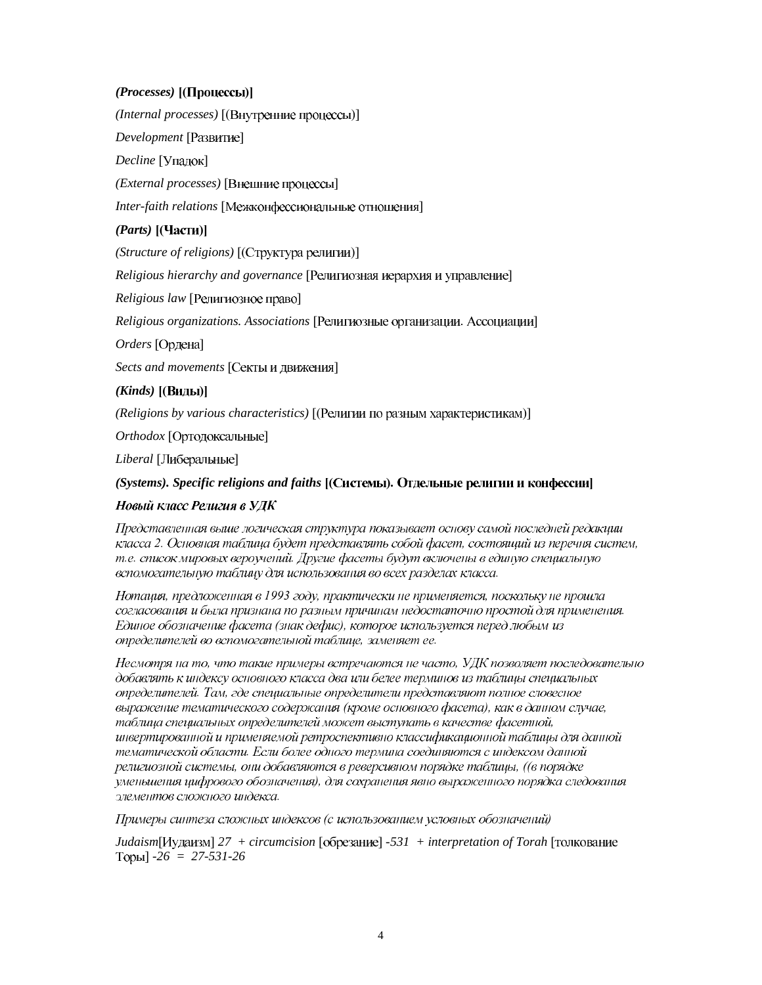# *(Processes)* [(Процессы)]

*(Internal processes)* [(Внутренние процессы)]

Development [Развитие]

Decline [Упадок]

*(External processes)* [Внешние процессы]

*Inter-faith relations* [Межконфессиональные отношения]

# (*Parts*) [(Части)]

(Structure of religions) [(Структура религии)]

*Religious hierarchy and governance* [Религиозная иерархия и управление]

*Religious law* [Религиозное право]

Religious organizations. Associations [Религиозные организации. Ассоциации]

*Orders* [Ордена]

Sects and movements [Секты и движения]

# (*Kinds*) [(Виды)]

*(Religions by various characteristics)* [(Религии по разным характеристикам)]

**Orthodox** [Ортодоксальные]

Liberal [Либеральные]

# $(Systems)$ *. Specific religions and faiths*  $[(Cuchb)$ *.* Отдельные религии и конфессии $]$

# Новый класс Религия в УДК

Представленная выше логическая структура показывает основу самой последней редакции класса 2. Основная таблица будет представлять собой фасет, состоящий из перечня систем, т.е. список мировых вероучений. Другие фасеты будут включены в единую специальную вспомогательную таблицу для использования во всех разделах класса.

Нотация, предложенная в 1993 году, практически не применяется, поскольку не прошла согласования и была признана по разным причинам недостаточно простой для применения. Единое обозначение фасета (знак дефис), которое используется перед любым из определителей во вспомогательной таблице, заменяет ее.

Несмотря на то, что такие примеры встречаются не часто, УДК позволяет последовательно добавлять к индексу основного класса два или белее терминов из таблицы специальных определителей. Там, где специальные определители представляют полное словесное выражение тематического содержания (кроме основного фасета), как в данном случае, таблица специальных определителей может выступать в качестве фасетной, инвертированной и применяемой ретроспективно классификационной таблицы для данной тематической области. Если более одного термина соединяются с индексом данной религиозной системы, они добавляются в реверсивном порядке таблицы, ((в порядке уменьшения цифрового обозначения), для сохранения явно выраженного порядка следования элементов сложного индекса.

Примеры синтеза сложных индексов (с использованием условных обозначений)

*Judaism*[Иудаизм] 27 + circumcision [обрезание] -531 + interpretation of Torah [толкование @ *-26 = 27-531-26*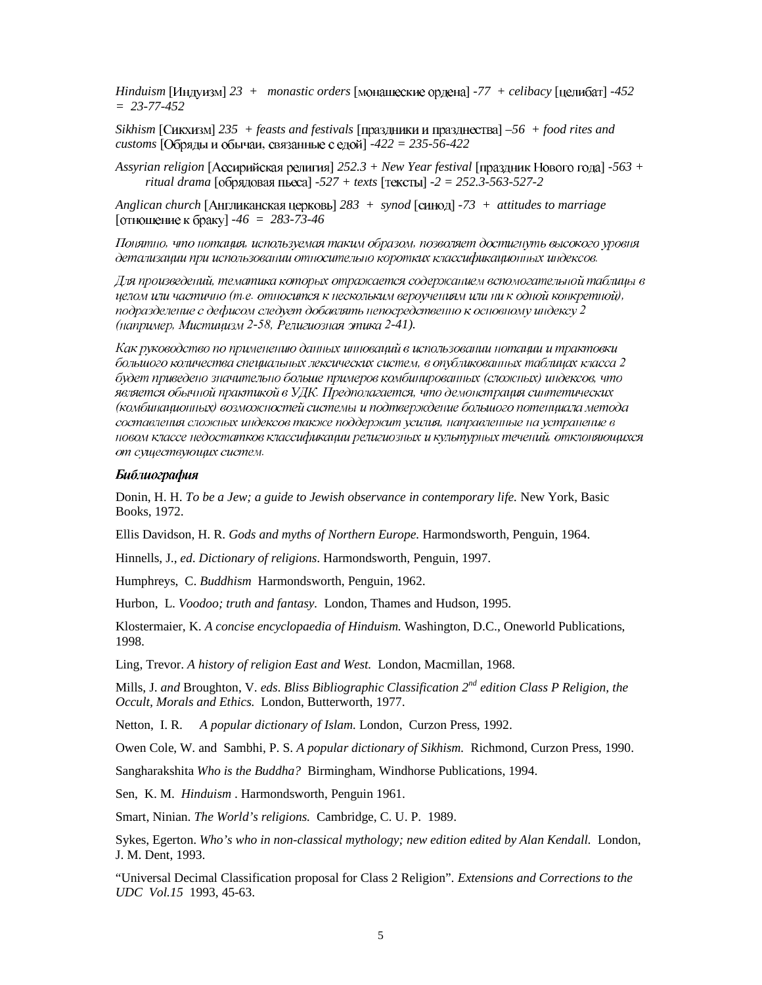*Hinduism* [Индуизм]  $23 +$  monastic orders [монашеские ордена]  $-77 +$  celibacy [целибат]  $-452$ *= 23-77-452* 

*Sikhism*  $[C$ икхизм] 235 + feasts and festivals  $[npa3\mu$ ники и празднества $]-56 + food$  rites and *customs* [Обряды и обычаи, связанные с едой] -422 = 235-56-422

 $A$ ssyrian religion [Ассирийская религия]  $252.3 + New Year$  *festival* [праздник Нового года] -563 +  $r$ *itual drama*  $\lceil 0.05 \rangle$ ядовая пьеса $\lceil -527 + \text{texts} \rceil$   $\lceil \text{reKcrbl} \rceil - 2 = 252.3 - 563 - 527 - 2$ 

Anglican church [Англиканская церковь] 283 + synod [синод] -73 + attitudes to marriage [отношение к браку] -46 = 283-73-46

Понятно, что нотация, используемая таким образом, позволяет достигнуть высокого уровня детализации при использовании относительно коротких классификационных индексов.

Для произведений, тематика которых отражается содержанием вспомогательной таблицы в иелом или частично (т.е. относится к нескольким вероучениям или ни к одной конкретной), подразделение с дефисом следует добавлять непосредственно к основному индексу 2 *- -41).* 

Как руководство по применению данных инноваций в использовании нотации и трактовки большого количества специальных лексических систем, в опубликованных таблицах класса 2 будет приведено значительно больше примеров комбинированных (сложных) индексов, что является обычной практикой в УДК. Предполагается, что демонстрация синтетических (комбинационных) возможностей системы и подтверждение большого потенциала метода составления сложных индексов также поддержит усилия, направленные на устранение в новом классе недостатков классификации религиозных и культурных течений, отклоняющихся от существующих систем.

#### Библиография

Donin, H. H. *To be a Jew; a guide to Jewish observance in contemporary life.* New York, Basic Books, 1972.

Ellis Davidson, H. R. *Gods and myths of Northern Europe.* Harmondsworth, Penguin, 1964.

Hinnells, J., *ed*. *Dictionary of religions*. Harmondsworth, Penguin, 1997.

Humphreys, C. *Buddhism* Harmondsworth, Penguin, 1962.

Hurbon, L. *Voodoo; truth and fantasy.* London, Thames and Hudson, 1995.

Klostermaier, K. *A concise encyclopaedia of Hinduism.* Washington, D.C., Oneworld Publications, 1998.

Ling, Trevor. *A history of religion East and West.* London, Macmillan, 1968.

Mills, J. *and* Broughton, V. *eds*. *Bliss Bibliographic Classification 2nd edition Class P Religion, the Occult, Morals and Ethics.* London, Butterworth, 1977.

Netton, I. R. *A popular dictionary of Islam.* London, Curzon Press, 1992.

Owen Cole, W. and Sambhi, P. S. *A popular dictionary of Sikhism.* Richmond, Curzon Press, 1990.

Sangharakshita *Who is the Buddha?* Birmingham, Windhorse Publications, 1994.

Sen, K. M. *Hinduism* . Harmondsworth, Penguin 1961.

Smart, Ninian. *The World's religions.* Cambridge, C. U. P. 1989.

Sykes, Egerton. *Who's who in non-classical mythology; new edition edited by Alan Kendall.* London, J. M. Dent, 1993.

"Universal Decimal Classification proposal for Class 2 Religion". *Extensions and Corrections to the UDC Vol.15* 1993, 45-63.